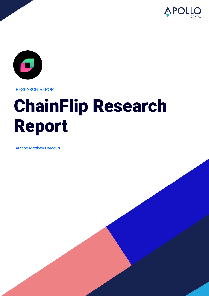



RESEARCH REPORT

# ChainFlip Research Report

Author: Matthew Harcourt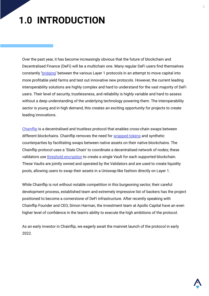# **1.0 INTRODUCTION**

Over the past year, it has become increasingly obvious that the future of blockchain and Decentralised Finance (DeFi) will be a multichain one. Many regular DeFi users find themselves constantly ['bridging'](https://coinmarketcap.com/alexandria/article/what-are-blockchain-bridges) between the various Layer 1 protocols in an attempt to move capital into more profitable yield farms and test out innovative new protocols. However, the current leading interoperability solutions are highly complex and hard to understand for the vast majority of DeFi users. Their level of security, trustlessness, and reliability is highly variable and hard to assess without a deep understanding of the underlying technology powering them. The interoperability sector is young and in high demand, this creates an exciting opportunity for projects to create leading innovations.

[Chainflip](https://chainflip.io/) is a decentralised and trustless protocol that enables cross-chain swaps between different blockchains. Chainflip removes the need for [wrapped tokens](https://academy.binance.com/en/articles/what-are-wrapped-tokens) and synthetic counterparties by facilitating swaps between native assets on their native blockchains. The Chainflip protocol uses a 'State Chain' to coordinate a decentralised network of nodes; these validators use [threshold encryption](https://en.wikipedia.org/wiki/Threshold_cryptosystem) to create a single Vault for each supported blockchain. These Vaults are jointly owned and operated by the Validators and are used to create liquidity pools, allowing users to swap their assets in a Uniswap-like fashion directly on Layer 1.

While Chainflip is not without notable competition in this burgeoning sector, their careful development process, established team and extremely impressive list of backers has the project positioned to become a cornerstone of DeFi infrastructure. After recently speaking with Chainflip Founder and CEO, Simon Harman, the investment team at Apollo Capital have an even higher level of confidence in the team's ability to execute the high ambitions of the protocol.

As an early investor in Chainflip, we eagerly await the mainnet launch of the protocol in early 2022.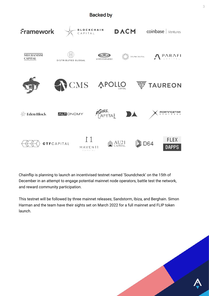#### **Backed by**



Chainflip is planning to launch an incentivised testnet named 'Soundcheck' on the 15th of December in an attempt to engage potential mainnet node operators, battle test the network, and reward community participation.

This testnet will be followed by three mainnet releases; Sandstorm, Ibiza, and Berghain. Simon Harman and the team have their sights set on March 2022 for a full mainnet and FLIP token launch.

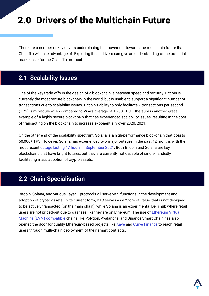# **2.0 Drivers of the Multichain Future**

There are a number of key drivers underpinning the movement towards the multichain future that Chainflip will take advantage of. Exploring these drivers can give an understanding of the potential market size for the Chainflip protocol.

### **2.1 Scalability Issues**

One of the key trade-offs in the design of a blockchain is between speed and security. Bitcoin is currently the most secure blockchain in the world, but is unable to support a significant number of transactions due to scalability issues. Bitcoin's ability to only facilitate 7 transactions per second (TPS) is miniscule when compared to Visa's average of 1,700 TPS. Ethereum is another great example of a highly secure blockchain that has experienced scalability issues, resulting in the cost of transacting on the blockchain to increase exponentially over 2020/2021.

On the other end of the scalability spectrum, Solana is a high-performance blockchain that boasts 50,000+ TPS. However, Solana has experienced two major outages in the past 12 months with the most recent [outage lasting 17 hours in September 2021.](https://www.bloomberg.com/news/articles/2021-09-16/solana-network-of-top-10-sol-token-applies-fixes-after-outage) Both Bitcoin and Solana are key blockchains that have bright futures, but they are currently not capable of single-handedly facilitating mass adoption of crypto assets.

### **2.2 Chain Specialisation**

Bitcoin, Solana, and various Layer 1 protocols all serve vital functions in the development and adoption of crypto assets. In its current form, BTC serves as a 'Store of Value' that is not designed to be actively transacted (on the main chain), while Solana is an experimental DeFi hub where retail users are not priced-out due to gas fees like they are on Ethereum. The rise of [Ethereum Virtual](https://ethereum.org/en/developers/docs/evm/) [Machine \(EVM\) compatible](https://ethereum.org/en/developers/docs/evm/) chains like Polygon, Avalanche, and Binance Smart Chain has also opened the door for quality Ethereum-based projects like [Aave](https://aave.com/) and [Curve Finance](https://curve.fi/) to reach retail users through multi-chain deployment of their smart contracts.

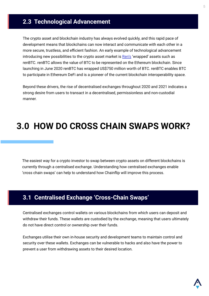### **2.3 Technological Advancement**

The crypto asset and blockchain industry has always evolved quickly, and this rapid pace of development means that blockchains can now interact and communicate with each other in a more secure, trustless, and efficient fashion. An early example of technological advancement introducing new possibilities to the crypto asset market is [Ren's](https://renproject.io/) 'wrapped' assets such as renBTC. renBTC allows the value of BTC to be represented on the Ethereum blockchain. Since launching in June 2020 renBTC has wrapped US\$750 million worth of BTC. renBTC enables BTC to participate in Ethereum DeFi and is a pioneer of the current blockchain interoperability space.

Beyond these drivers, the rise of decentralised exchanges throughout 2020 and 2021 indicates a strong desire from users to transact in a decentralised, permissionless and non-custodial manner.

# **3.0 HOW DO CROSS CHAIN SWAPS WORK?**

The easiest way for a crypto investor to swap between crypto assets on different blockchains is currently through a centralised exchange. Understanding how centralised exchanges enable 'cross chain swaps' can help to understand how Chainflip will improve this process.

### **3.1 Centralised Exchange 'Cross-Chain Swaps'**

Centralised exchanges control wallets on various blockchains from which users can deposit and withdraw their funds. These wallets are custodied by the exchange, meaning that users ultimately do not have direct control or ownership over their funds.

Exchanges utilise their own in-house security and development teams to maintain control and security over these wallets. Exchanges can be vulnerable to hacks and also have the power to prevent a user from withdrawing assets to their desired location.

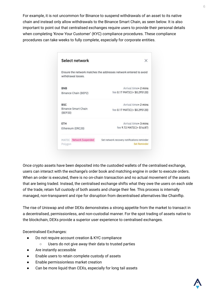For example, it is not uncommon for Binance to suspend withdrawals of an asset to its native chain and instead only allow withdrawals to the Binance Smart Chain, as seen below. It is also important to point out that centralised exchanges require users to provide their personal details when completing 'Know Your Customer' (KYC) compliance procedures. These compliance procedures can take weeks to fully complete, especially for corporate entities.

| Select network                                                                         |                                             |
|----------------------------------------------------------------------------------------|---------------------------------------------|
| Ensure the network matches the addresses network entered to avoid<br>withdrawal losses |                                             |
| <b>BNB</b>                                                                             | Arrival time≈ 2 mins                        |
| Binance Chain (BEP2)                                                                   | fee $0.17$ MATIC(= \$0.295120)              |
| <b>BSC</b>                                                                             | Arrival time≈ 2 mins                        |
| Binance Smart Chain<br>(BEP20)                                                         | fee 0.17 MATIC(≈ \$0.295120)                |
| ETH                                                                                    | Arrival time $\approx$ 3 mins               |
| Ethereum (ERC20)                                                                       | fee 9.72 MATIC(≈ \$16.87)                   |
| MATIC Network Suspended                                                                | Set network recovery notifications reminder |
| Polygon                                                                                | <b>Set Reminder</b>                         |

Once crypto assets have been deposited into the custodied wallets of the centralised exchange, users can interact with the exchange's order book and matching engine in order to execute orders. When an order is executed, there is no on-chain transaction and no actual movement of the assets that are being traded. Instead, the centralised exchange shifts what they owe the users on each side of the trade, retain full custody of both assets and charge their fee. This process is internally managed, non-transparent and ripe for disruption from decentralised alternatives like Chainflip.

The rise of Uniswap and other DEXs demonstrates a strong appetite from the market to transact in a decentralised, permissionless, and non-custodial manner. For the spot trading of assets native to the blockchain, DEXs provide a superior user experience to centralised exchanges.

Decentralised Exchanges:

- Do not require account creation & KYC compliance
	- Users do not give away their data to trusted parties
- Are instantly accessible
- Enable users to retain complete custody of assets
- Enable permissionless market creation
- Can be more liquid than CEXs, especially for long tail assets

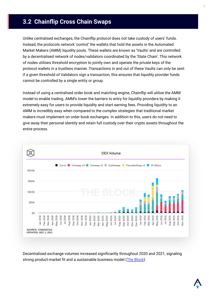## **3.2 Chainflip Cross Chain Swaps**

Unlike centralised exchanges, the Chainflip protocol does not take custody of users' funds. Instead, the protocols network 'control' the wallets that hold the assets in the Automated Market Makers (AMM) liquidity pools. These wallets are known as 'Vaults' and are controlled by a decentralised network of nodes/validators coordinated by the 'State Chain'. This network of nodes utilises threshold encryption to jointly own and operate the private keys of the protocol wallets in a trustless manner. Transactions in and out of these Vaults can only be sent if a given threshold of Validators sign a transaction, this ensures that liquidity provider funds cannot be controlled by a single entity or group.

Instead of using a centralised order book and matching engine, Chainflip will utilise the AMM model to enable trading. AMM's lower the barriers to entry for liquidity providers by making it extremely easy for users to provide liquidity and start earning fees. Providing liquidity to an AMM is incredibly easy when compared to the complex strategies that traditional market makers must implement on order book exchanges. In addition to this, users do not need to give away their personal identity and retain full custody over their crypto assets throughout the entire process.



Decentralised exchange volumes increased significantly throughout 2020 and 2021, signaling strong product-market fit and a sustainable business model [\(The Block\)](https://www.theblockcrypto.com/data/decentralized-finance/dex-non-custodial).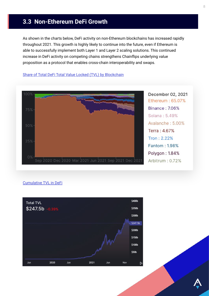### **3.3 Non-Ethereum DeFi Growth**

As shown in the charts below, DeFi activity on non-Ethereum blockchains has increased rapidly throughout 2021. This growth is highly likely to continue into the future, even if Ethereum is able to successfully implement both Layer 1 and Layer 2 scaling solutions. This continued increase in DeFi activity on competing chains strengthens Chainflips underlying value proposition as a protocol that enables cross-chain interoperability and swaps.



#### [Share of Total DeFi Total Value Locked \(TVL\) by Blockchain](https://defillama.com/chains)

#### [Cumulative TVL in DeFi](https://defillama.com/)

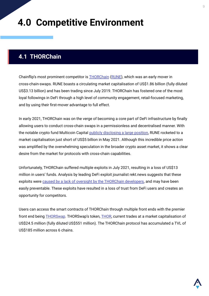# **4.0 Competitive Environment**

### **4.1 THORChain**

Chainflip's most prominent competitor is [THORChain](https://thorchain.org/) [\(RUNE](https://www.coingecko.com/en/coins/thorchain)), which was an early mover in cross-chain-swaps. RUNE boasts a circulating market capitalisation of US\$1.86 billion (fully diluted US\$3.13 billion) and has been trading since July 2019. THORChain has fostered one of the most loyal followings in DeFi through a high level of community engagement, retail-focused marketing, and by using their first-mover advantage to full effect.

In early 2021, THORChain was on the verge of becoming a core part of DeFi infrastructure by finally allowing users to conduct cross-chain swaps in a permissionless and decentralised manner. With the notable crypto fund Multicoin Capital [publicly disclosing a large position,](https://multicoin.capital/2021/02/23/thorchain-analysis/) RUNE rocketed to a market capitalisation just short of US\$5 billion in May 2021. Although this incredible price action was amplified by the overwhelming speculation in the broader crypto asset market, it shows a clear desire from the market for protocols with cross-chain capabilities.

Unfortunately, THORChain suffered multiple exploits in July 2021, resulting in a loss of US\$13 million in users' funds. Analysis by leading DeFi exploit journalist rekt.news suggests that these exploits were [caused by a lack of oversight by the THORChain developers,](https://rekt.news/thorchain-rekt2/) and may have been easily preventable. These exploits have resulted in a loss of trust from DeFi users and creates an opportunity for competitors.

Users can access the smart contracts of THORChain through multiple front ends with the premier front end being **[THOR](https://www.coingecko.com/en/coins/thorswap)Swap**. THORSwap's token, **THOR**, current trades at a market capitalisation of US\$24.5 million (fully diluted US\$551 million). The THORChain protocol has accumulated a TVL of US\$185 million across 6 chains.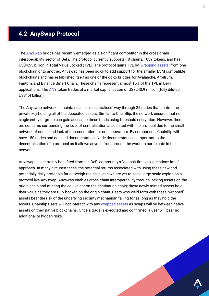## **4.2 AnySwap Protocol**

The **[Anyswap](https://anyswap.exchange/)** bridge has recently emerged as a significant competitor in the cross-chain interoperability sector of DeFi. The protocol currently supports 10 chains, 1039 tokens, and has US\$4.55 billion in Total Value Locked (TVL). The protocol gains TVL by '[wrapping assets'](https://academy.binance.com/en/articles/what-are-wrapped-tokens) from one blockchain onto another. Anyswap has been quick to add support for the smaller EVM compatible blockchains and has established itself as one of the go-to bridges for Avalanche, Arbitrum, Fantom, and Binance Smart Chain. These chains represent almost 15% of the TVL in DeFi applications. The [ANY](https://www.coingecko.com/en/coins/anyswap) token trades at a market capitalisation of US\$240.9 million (fully diluted US\$1.4 billion).

The Anyswap network is maintained in a 'decentralised' way through 35 nodes that control the private key holding all of the deposited assets. Similar to Chainflip, the network ensures that no single entity or group can gain access to these funds using threshold encryption. However, there are concerns surrounding the level of centralisation associated with the protocol due to the small network of nodes and lack of documentation for node operators. By comparison, Chainflip will have 150 nodes and detailed documentation. Node documentation is important to the decentralisation of a protocol as it allows anyone from around the world to participate in the network.

Anyswap has certainly benefited from the DeFi community's "deposit first, ask questions later" approach. In many circumstances, the potential returns associated with using these new and potentially risky protocols far outweigh the risks, and we are yet to see a large-scale exploit on a protocol like Anyswap. Anyswap enables cross-chain interoperability through locking assets on the origin chain and minting the equivalent on the destination chain; these newly minted assets hold their value as they are fully backed on the origin chain. Users who yield farm with these 'wrapped' assets bear the risk of the underlying security mechanism failing for as long as they hold the assets. Chainflip users will not interact with any [wrapped assets](https://academy.binance.com/en/articles/what-are-wrapped-tokens) as swaps will be between native assets on their native blockchains. Once a trade is executed and confirmed, a user will bear no additional or hidden risks.

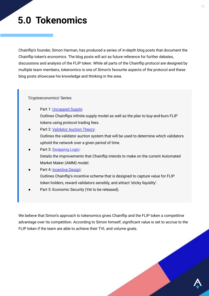# **5.0 Tokenomics**

Chainflip's founder, Simon Harman, has produced a series of in-depth blog posts that document the Chainflip token's economics. The blog posts will act as future reference for further debates, discussions and analysis of the FLIP token. While all parts of the Chainflip protocol are designed by multiple team members, tokenomics is one of Simon's favourite aspects of the protocol and these blog posts showcase his knowledge and thinking in the area.

'Cryptoeconomics' Series:

- Part 1: [Uncapped Supply:](#) Outlines Chainflips infinite supply model as well as the plan to buy-and-burn FLIP tokens using protocol trading fees.
- Part 2: [Validator Auction Theory](#): Outlines the validator auction system that will be used to determine which validators uphold the network over a given period of time.
- Part 3: [Swapping Logic:](#) Details the improvements that Chainflip intends to make on the current Automated Market Maker (AMM) model.
- Part 4: [Incentive Design](#): Outlines Chainflip's incentive scheme that is designed to capture value for FLIP token holders, reward validators sensibly, and attract 'sticky liquidity'.
- Part 5: Economic Security (Yet to be released).

We believe that Simon's approach to tokenomics gives Chainflip and the FLIP token a competitive advantage over its competition. According to Simon himself, significant value is set to accrue to the FLIP token if the team are able to achieve their TVL and volume goals.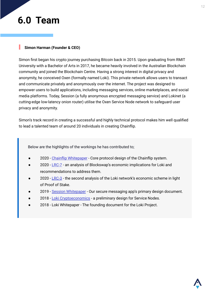# **6.0 Team**

#### **Simon Harman (Founder & CEO)**

Simon first began his crypto journey purchasing Bitcoin back in 2015. Upon graduating from RMIT University with a Bachelor of Arts in 2017, he became heavily involved in the Australian Blockchain community and joined the Blockchain Centre. Having a strong interest in digital privacy and anonymity, he conceived Oxen (formally named Loki). This private network allows users to transact and communicate privately and anonymously over the internet. The project was designed to empower users to build applications, including messaging services, online marketplaces, and social media platforms. Today, Session (a fully anonymous encrypted messaging service) and Lokinet (a cutting-edge low-latency onion router) utilise the Oxen Service Node network to safeguard user privacy and anonymity.

Simon's track record in creating a successful and highly technical protocol makes him well qualified to lead a talented team of around 20 individuals in creating Chainflip.

Below are the highlights of the workings he has contributed to;

- 2020 [Chainflip Whitepaper](#) Core protocol design of the Chainflip system.
- 2020  $LRC-7$  an analysis of Blockswap's economic implications for Loki and recommendations to address them.
- 2020  $LRC-3$  the second analysis of the Loki network's economic scheme in light of Proof of Stake.
- 2019 [Session Whitepaper](#)  Our secure messaging app's primary design document.
- 2018 [Loki Cryptoeconomics](#)  a preliminary design for Service Nodes.
- 2018 Loki Whitepaper The founding document for the Loki Project.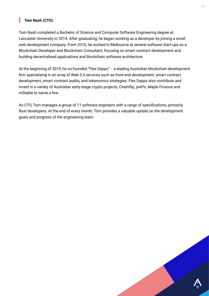#### **Tom Nash (CTO)**

Tom Nash completed a Bachelor of Science and Computer Software Engineering degree at Lancaster University in 2014. After graduating, he began working as a developer by joining a small web development company. From 2016, he worked in Melbourne at several software start-ups as a Blockchain Developer and Blockchain Consultant, focusing on smart contract development and building decentralised applications and blockchain software architecture.

At the beginning of 2019, he co-founded "Flex Dapps" - a leading Australian blockchain development firm specialising in an array of Web 3.0 services such as front-end development, smart contract development, smart contract audits, and tokenomics strategies. Flex Dapps also contribute and invest in a variety of Australian early-stage crypto projects, Chainflip, prePo, Maple Finance and mStable to name a few.

As CTO, Tom manages a group of 11 software engineers with a range of specifications, primarily Rust developers. At the end of every month, Tom provides a valuable update on the development goals and progress of the engineering team.

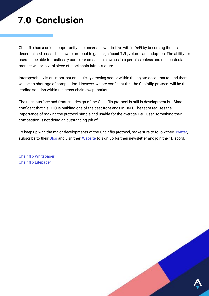# **7.0 Conclusion**

Chainflip has a unique opportunity to pioneer a new primitive within DeFi by becoming the first decentralised cross-chain swap protocol to gain significant TVL, volume and adoption. The ability for users to be able to trustlessly complete cross-chain swaps in a permissionless and non custodial manner will be a vital piece of blockchain infrastructure.

Interoperability is an important and quickly growing sector within the crypto asset market and there will be no shortage of competition. However, we are confident that the Chainflip protocol will be the leading solution within the cross-chain swap market.

The user interface and front end design of the Chainflip protocol is still in development but Simon is confident that his CTO is building one of the best front ends in DeFi. The team realises the importance of making the protocol simple and usable for the average DeFi user, something their competition is not doing an outstanding job of.

To keep up with the major developments of the Chainflip protocol, make sure to follow their [Twitter,](https://twitter.com/chainflip) subscribe to their **Blog** and visit their [Website](https://chainflip.io/) to sign up for their newsletter and join their Discord.

[Chainflip Whitepaper](https://chainflip.io/whitepaper.pdf) [Chainflip Litepaper](https://chainflip.io/lightpaper.pdf)